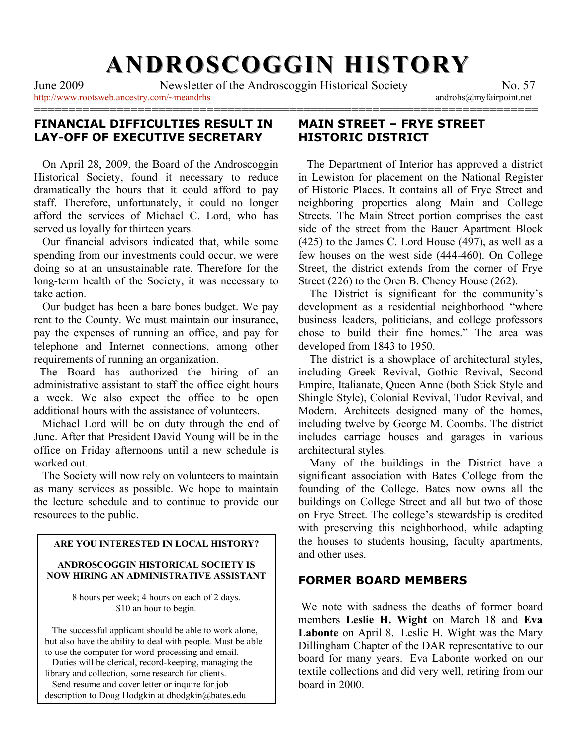# **ANDROSCOGGIN HISTORY**

June 2009 Newsletter of the Androscoggin Historical Society No. 57

http://www.rootsweb.ancestry.com/~meandrhs androhs@myfairpoint.net =========================================================================

# **FINANCIAL DIFFICULTIES RESULT IN LAY-OFF OF EXECUTIVE SECRETARY**

 On April 28, 2009, the Board of the Androscoggin Historical Society, found it necessary to reduce dramatically the hours that it could afford to pay staff. Therefore, unfortunately, it could no longer afford the services of Michael C. Lord, who has served us loyally for thirteen years.

 Our financial advisors indicated that, while some spending from our investments could occur, we were doing so at an unsustainable rate. Therefore for the long-term health of the Society, it was necessary to take action.

 Our budget has been a bare bones budget. We pay rent to the County. We must maintain our insurance, pay the expenses of running an office, and pay for telephone and Internet connections, among other requirements of running an organization.

 The Board has authorized the hiring of an administrative assistant to staff the office eight hours a week. We also expect the office to be open additional hours with the assistance of volunteers.

 Michael Lord will be on duty through the end of June. After that President David Young will be in the office on Friday afternoons until a new schedule is worked out.

 The Society will now rely on volunteers to maintain as many services as possible. We hope to maintain the lecture schedule and to continue to provide our resources to the public.

### **ARE YOU INTERESTED IN LOCAL HISTORY?**

#### **ANDROSCOGGIN HISTORICAL SOCIETY IS NOW HIRING AN ADMINISTRATIVE ASSISTANT**

8 hours per week; 4 hours on each of 2 days. \$10 an hour to begin.

The successful applicant should be able to work alone, but also have the ability to deal with people. Must be able to use the computer for word-processing and email.

Duties will be clerical, record-keeping, managing the library and collection, some research for clients.

Send resume and cover letter or inquire for job description to Doug Hodgkin at dhodgkin@bates.edu

# **MAIN STREET – FRYE STREET HISTORIC DISTRICT**

 The Department of Interior has approved a district in Lewiston for placement on the National Register of Historic Places. It contains all of Frye Street and neighboring properties along Main and College Streets. The Main Street portion comprises the east side of the street from the Bauer Apartment Block (425) to the James C. Lord House (497), as well as a few houses on the west side (444-460). On College Street, the district extends from the corner of Frye Street (226) to the Oren B. Cheney House (262).

 The District is significant for the community's development as a residential neighborhood "where business leaders, politicians, and college professors chose to build their fine homes." The area was developed from 1843 to 1950.

 The district is a showplace of architectural styles, including Greek Revival, Gothic Revival, Second Empire, Italianate, Queen Anne (both Stick Style and Shingle Style), Colonial Revival, Tudor Revival, and Modern. Architects designed many of the homes, including twelve by George M. Coombs. The district includes carriage houses and garages in various architectural styles.

 Many of the buildings in the District have a significant association with Bates College from the founding of the College. Bates now owns all the buildings on College Street and all but two of those on Frye Street. The college's stewardship is credited with preserving this neighborhood, while adapting the houses to students housing, faculty apartments, and other uses.

## **FORMER BOARD MEMBERS**

We note with sadness the deaths of former board members **Leslie H. Wight** on March 18 and **Eva Labonte** on April 8. Leslie H. Wight was the Mary Dillingham Chapter of the DAR representative to our board for many years. Eva Labonte worked on our textile collections and did very well, retiring from our board in 2000.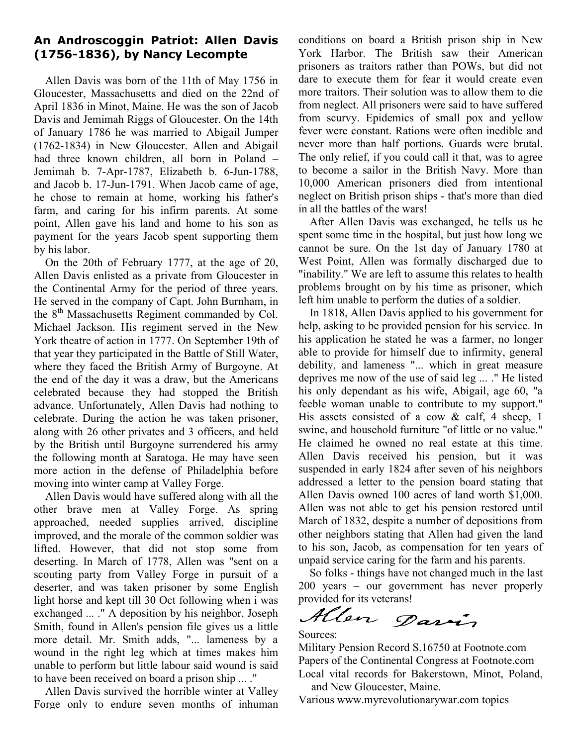## **An Androscoggin Patriot: Allen Davis (1756-1836), by Nancy Lecompte**

 Allen Davis was born of the 11th of May 1756 in Gloucester, Massachusetts and died on the 22nd of April 1836 in Minot, Maine. He was the son of Jacob Davis and Jemimah Riggs of Gloucester. On the 14th of January 1786 he was married to Abigail Jumper (1762-1834) in New Gloucester. Allen and Abigail had three known children, all born in Poland – Jemimah b. 7-Apr-1787, Elizabeth b. 6-Jun-1788, and Jacob b. 17-Jun-1791. When Jacob came of age, he chose to remain at home, working his father's farm, and caring for his infirm parents. At some point, Allen gave his land and home to his son as payment for the years Jacob spent supporting them by his labor.

 On the 20th of February 1777, at the age of 20, Allen Davis enlisted as a private from Gloucester in the Continental Army for the period of three years. He served in the company of Capt. John Burnham, in the 8<sup>th</sup> Massachusetts Regiment commanded by Col. Michael Jackson. His regiment served in the New York theatre of action in 1777. On September 19th of that year they participated in the Battle of Still Water, where they faced the British Army of Burgoyne. At the end of the day it was a draw, but the Americans celebrated because they had stopped the British advance. Unfortunately, Allen Davis had nothing to celebrate. During the action he was taken prisoner, along with 26 other privates and 3 officers, and held by the British until Burgoyne surrendered his army the following month at Saratoga. He may have seen more action in the defense of Philadelphia before moving into winter camp at Valley Forge.

 Allen Davis would have suffered along with all the other brave men at Valley Forge. As spring approached, needed supplies arrived, discipline improved, and the morale of the common soldier was lifted. However, that did not stop some from deserting. In March of 1778, Allen was "sent on a scouting party from Valley Forge in pursuit of a deserter, and was taken prisoner by some English light horse and kept till 30 Oct following when i was exchanged ... ." A deposition by his neighbor, Joseph Smith, found in Allen's pension file gives us a little more detail. Mr. Smith adds, "... lameness by a wound in the right leg which at times makes him unable to perform but little labour said wound is said to have been received on board a prison ship ... ."

 Allen Davis survived the horrible winter at Valley Forge only to endure seven months of inhuman conditions on board a British prison ship in New York Harbor. The British saw their American prisoners as traitors rather than POWs, but did not dare to execute them for fear it would create even more traitors. Their solution was to allow them to die from neglect. All prisoners were said to have suffered from scurvy. Epidemics of small pox and yellow fever were constant. Rations were often inedible and never more than half portions. Guards were brutal. The only relief, if you could call it that, was to agree to become a sailor in the British Navy. More than 10,000 American prisoners died from intentional neglect on British prison ships - that's more than died in all the battles of the wars!

 After Allen Davis was exchanged, he tells us he spent some time in the hospital, but just how long we cannot be sure. On the 1st day of January 1780 at West Point, Allen was formally discharged due to "inability." We are left to assume this relates to health problems brought on by his time as prisoner, which left him unable to perform the duties of a soldier.

 In 1818, Allen Davis applied to his government for help, asking to be provided pension for his service. In his application he stated he was a farmer, no longer able to provide for himself due to infirmity, general debility, and lameness "... which in great measure deprives me now of the use of said leg ... ." He listed his only dependant as his wife, Abigail, age 60, "a feeble woman unable to contribute to my support." His assets consisted of a cow & calf, 4 sheep, 1 swine, and household furniture "of little or no value." He claimed he owned no real estate at this time. Allen Davis received his pension, but it was suspended in early 1824 after seven of his neighbors addressed a letter to the pension board stating that Allen Davis owned 100 acres of land worth \$1,000. Allen was not able to get his pension restored until March of 1832, despite a number of depositions from other neighbors stating that Allen had given the land to his son, Jacob, as compensation for ten years of unpaid service caring for the farm and his parents.

 So folks - things have not changed much in the last 200 years – our government has never properly

provided for its veterans!

Sources:

Military Pension Record S.16750 at Footnote.com Papers of the Continental Congress at Footnote.com Local vital records for Bakerstown, Minot, Poland, and New Gloucester, Maine.

Various www.myrevolutionarywar.com topics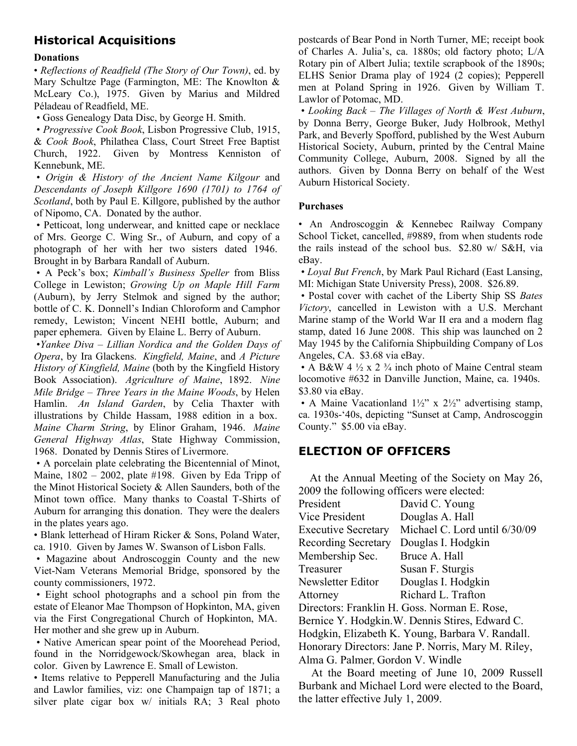# **Historical Acquisitions**

#### **Donations**

• *Reflections of Readfield (The Story of Our Town)*, ed. by Mary Schultze Page (Farmington, ME: The Knowlton & McLeary Co.), 1975. Given by Marius and Mildred Péladeau of Readfield, ME.

• Goss Genealogy Data Disc, by George H. Smith.

• *Progressive Cook Book*, Lisbon Progressive Club, 1915, & *Cook Book*, Philathea Class, Court Street Free Baptist Church, 1922. Given by Montress Kenniston of Kennebunk, ME.

• *Origin & History of the Ancient Name Kilgour* and *Descendants of Joseph Killgore 1690 (1701) to 1764 of Scotland*, both by Paul E. Killgore, published by the author of Nipomo, CA. Donated by the author.

• Petticoat, long underwear, and knitted cape or necklace of Mrs. George C. Wing Sr., of Auburn, and copy of a photograph of her with her two sisters dated 1946. Brought in by Barbara Randall of Auburn.

• A Peck's box; *Kimball's Business Speller* from Bliss College in Lewiston; *Growing Up on Maple Hill Farm* (Auburn), by Jerry Stelmok and signed by the author; bottle of C. K. Donnell's Indian Chloroform and Camphor remedy, Lewiston; Vincent NEHI bottle, Auburn; and paper ephemera. Given by Elaine L. Berry of Auburn.

•*Yankee Diva – Lillian Nordica and the Golden Days of Opera*, by Ira Glackens. *Kingfield, Maine*, and *A Picture History of Kingfield, Maine* (both by the Kingfield History Book Association). *Agriculture of Maine*, 1892. *Nine Mile Bridge – Three Years in the Maine Woods*, by Helen Hamlin. *An Island Garden*, by Celia Thaxter with illustrations by Childe Hassam, 1988 edition in a box. *Maine Charm String*, by Elinor Graham, 1946. *Maine General Highway Atlas*, State Highway Commission, 1968. Donated by Dennis Stires of Livermore.

• A porcelain plate celebrating the Bicentennial of Minot, Maine,  $1802 - 2002$ , plate #198. Given by Eda Tripp of the Minot Historical Society & Allen Saunders, both of the Minot town office. Many thanks to Coastal T-Shirts of Auburn for arranging this donation. They were the dealers in the plates years ago.

• Blank letterhead of Hiram Ricker & Sons, Poland Water, ca. 1910. Given by James W. Swanson of Lisbon Falls.

• Magazine about Androscoggin County and the new Viet-Nam Veterans Memorial Bridge, sponsored by the county commissioners, 1972.

• Eight school photographs and a school pin from the estate of Eleanor Mae Thompson of Hopkinton, MA, given via the First Congregational Church of Hopkinton, MA. Her mother and she grew up in Auburn.

• Native American spear point of the Moorehead Period, found in the Norridgewock/Skowhegan area, black in color. Given by Lawrence E. Small of Lewiston.

• Items relative to Pepperell Manufacturing and the Julia and Lawlor families, viz: one Champaign tap of 1871; a silver plate cigar box w/ initials RA; 3 Real photo

postcards of Bear Pond in North Turner, ME; receipt book of Charles A. Julia's, ca. 1880s; old factory photo; L/A Rotary pin of Albert Julia; textile scrapbook of the 1890s; ELHS Senior Drama play of 1924 (2 copies); Pepperell men at Poland Spring in 1926. Given by William T. Lawlor of Potomac, MD.

• *Looking Back – The Villages of North & West Auburn*, by Donna Berry, George Buker, Judy Holbrook, Methyl Park, and Beverly Spofford, published by the West Auburn Historical Society, Auburn, printed by the Central Maine Community College, Auburn, 2008. Signed by all the authors. Given by Donna Berry on behalf of the West Auburn Historical Society.

#### **Purchases**

• An Androscoggin & Kennebec Railway Company School Ticket, cancelled, #9889, from when students rode the rails instead of the school bus. \$2.80 w/ S&H, via eBay.

• *Loyal But French*, by Mark Paul Richard (East Lansing, MI: Michigan State University Press), 2008. \$26.89.

• Postal cover with cachet of the Liberty Ship SS *Bates Victory*, cancelled in Lewiston with a U.S. Merchant Marine stamp of the World War II era and a modern flag stamp, dated 16 June 2008. This ship was launched on 2 May 1945 by the California Shipbuilding Company of Los Angeles, CA. \$3.68 via eBay.

• A B&W 4  $\frac{1}{2}$  x 2  $\frac{3}{4}$  inch photo of Maine Central steam locomotive #632 in Danville Junction, Maine, ca. 1940s. \$3.80 via eBay.

• A Maine Vacationland  $1\frac{1}{2}$ " x  $2\frac{1}{2}$ " advertising stamp, ca. 1930s-'40s, depicting "Sunset at Camp, Androscoggin County." \$5.00 via eBay.

## **ELECTION OF OFFICERS**

 At the Annual Meeting of the Society on May 26, 2009 the following officers were elected:

| $2002$ the following officers were elected.        |                                              |
|----------------------------------------------------|----------------------------------------------|
| President                                          | David C. Young                               |
| Vice President                                     | Douglas A. Hall                              |
| <b>Executive Secretary</b>                         | Michael C. Lord until 6/30/09                |
| Recording Secretary                                | Douglas I. Hodgkin                           |
| Membership Sec.                                    | Bruce A. Hall                                |
| Treasurer                                          | Susan F. Sturgis                             |
| Newsletter Editor                                  | Douglas I. Hodgkin                           |
| Attorney                                           | Richard L. Trafton                           |
|                                                    | Directors: Franklin H. Goss. Norman E. Rose, |
| Bernice Y. Hodgkin.W. Dennis Stires, Edward C.     |                                              |
| Hodgkin, Elizabeth K. Young, Barbara V. Randall.   |                                              |
| Honorary Directors: Jane P. Norris, Mary M. Riley, |                                              |
| Alma G. Palmer, Gordon V. Windle                   |                                              |
|                                                    |                                              |

At the Board meeting of June 10, 2009 Russell Burbank and Michael Lord were elected to the Board, the latter effective July 1, 2009.